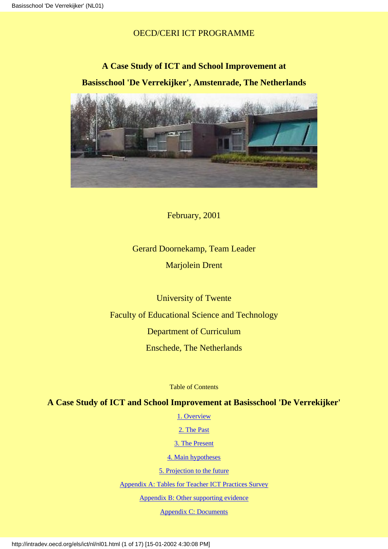# OECD/CERI ICT PROGRAMME

# **A Case Study of ICT and School Improvement at Basisschool 'De Verrekijker', Amstenrade, The Netherlands**



February, 2001

# Gerard Doornekamp, Team Leader Marjolein Drent

University of Twente Faculty of Educational Science and Technology Department of Curriculum Enschede, The Netherlands

Table of Contents

# <span id="page-0-0"></span>**A Case Study of ICT and School Improvement at Basisschool 'De Verrekijker'**

[1. Overview](#page-1-0)

[2. The Past](#page-4-0)

[3. The Present](#page-5-0)

[4. Main hypotheses](#page-10-0)

[5. Projection to the future](#page-11-0)

[Appendix A: Tables for Teacher ICT Practices Survey](#page-11-1)

[Appendix B: Other supporting evidence](#page-16-0)

[Appendix C: Documents](#page-16-1)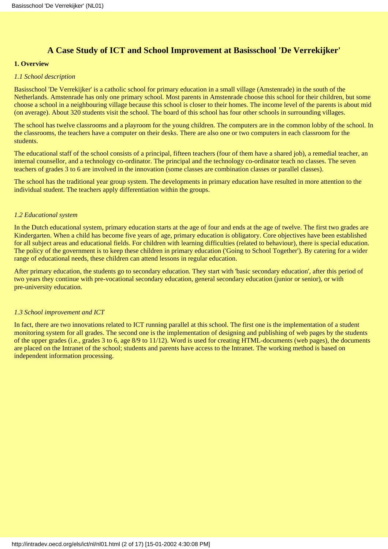# **A Case Study of ICT and School Improvement at Basisschool 'De Verrekijker'**

### <span id="page-1-0"></span>**1. Overview**

#### *1.1 School description*

Basisschool 'De Verrekijker' is a catholic school for primary education in a small village (Amstenrade) in the south of the Netherlands. Amstenrade has only one primary school. Most parents in Amstenrade choose this school for their children, but some choose a school in a neighbouring village because this school is closer to their homes. The income level of the parents is about mid (on average). About 320 students visit the school. The board of this school has four other schools in surrounding villages.

The school has twelve classrooms and a playroom for the young children. The computers are in the common lobby of the school. In the classrooms, the teachers have a computer on their desks. There are also one or two computers in each classroom for the students.

The educational staff of the school consists of a principal, fifteen teachers (four of them have a shared job), a remedial teacher, an internal counsellor, and a technology co-ordinator. The principal and the technology co-ordinator teach no classes. The seven teachers of grades 3 to 6 are involved in the innovation (some classes are combination classes or parallel classes).

The school has the traditional year group system. The developments in primary education have resulted in more attention to the individual student. The teachers apply differentiation within the groups.

#### *1.2 Educational system*

In the Dutch educational system, primary education starts at the age of four and ends at the age of twelve. The first two grades are Kindergarten. When a child has become five years of age, primary education is obligatory. Core objectives have been established for all subject areas and educational fields. For children with learning difficulties (related to behaviour), there is special education. The policy of the government is to keep these children in primary education ('Going to School Together'). By catering for a wider range of educational needs, these children can attend lessons in regular education.

After primary education, the students go to secondary education. They start with 'basic secondary education', after this period of two years they continue with pre-vocational secondary education, general secondary education (junior or senior), or with pre-university education.

#### *1.3 School improvement and ICT*

In fact, there are two innovations related to ICT running parallel at this school. The first one is the implementation of a student monitoring system for all grades. The second one is the implementation of designing and publishing of web pages by the students of the upper grades (i.e., grades 3 to 6, age 8/9 to 11/12). Word is used for creating HTML-documents (web pages), the documents are placed on the Intranet of the school; students and parents have access to the Intranet. The working method is based on independent information processing.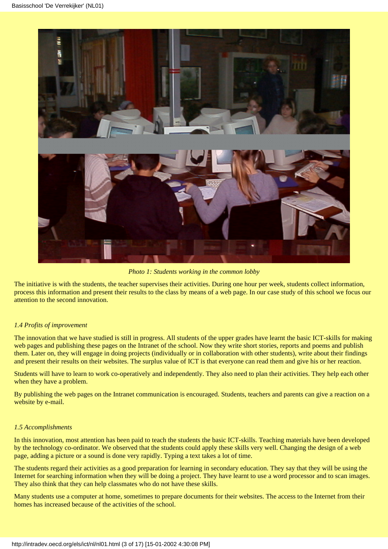

*Photo 1: Students working in the common lobby*

The initiative is with the students, the teacher supervises their activities. During one hour per week, students collect information, process this information and present their results to the class by means of a web page. In our case study of this school we focus our attention to the second innovation.

#### *1.4 Profits of improvement*

The innovation that we have studied is still in progress. All students of the upper grades have learnt the basic ICT-skills for making web pages and publishing these pages on the Intranet of the school. Now they write short stories, reports and poems and publish them. Later on, they will engage in doing projects (individually or in collaboration with other students), write about their findings and present their results on their websites. The surplus value of ICT is that everyone can read them and give his or her reaction.

Students will have to learn to work co-operatively and independently. They also need to plan their activities. They help each other when they have a problem.

By publishing the web pages on the Intranet communication is encouraged. Students, teachers and parents can give a reaction on a website by e-mail.

#### *1.5 Accomplishments*

In this innovation, most attention has been paid to teach the students the basic ICT-skills. Teaching materials have been developed by the technology co-ordinator. We observed that the students could apply these skills very well. Changing the design of a web page, adding a picture or a sound is done very rapidly. Typing a text takes a lot of time.

The students regard their activities as a good preparation for learning in secondary education. They say that they will be using the Internet for searching information when they will be doing a project. They have learnt to use a word processor and to scan images. They also think that they can help classmates who do not have these skills.

Many students use a computer at home, sometimes to prepare documents for their websites. The access to the Internet from their homes has increased because of the activities of the school.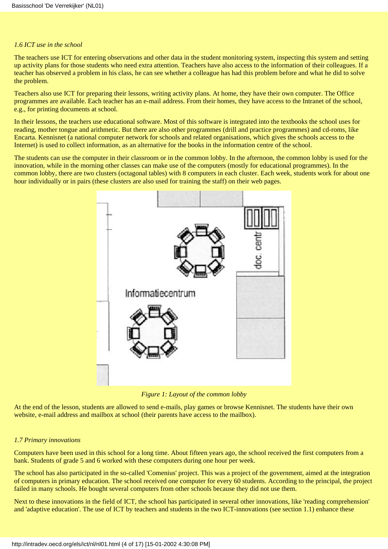#### *1.6 ICT use in the school*

The teachers use ICT for entering observations and other data in the student monitoring system, inspecting this system and setting up activity plans for those students who need extra attention. Teachers have also access to the information of their colleagues. If a teacher has observed a problem in his class, he can see whether a colleague has had this problem before and what he did to solve the problem.

Teachers also use ICT for preparing their lessons, writing activity plans. At home, they have their own computer. The Office programmes are available. Each teacher has an e-mail address. From their homes, they have access to the Intranet of the school, e.g., for printing documents at school.

In their lessons, the teachers use educational software. Most of this software is integrated into the textbooks the school uses for reading, mother tongue and arithmetic. But there are also other programmes (drill and practice programmes) and cd-roms, like Encarta. Kennisnet (a national computer network for schools and related organisations, which gives the schools access to the Internet) is used to collect information, as an alternative for the books in the information centre of the school.

The students can use the computer in their classroom or in the common lobby. In the afternoon, the common lobby is used for the innovation, while in the morning other classes can make use of the computers (mostly for educational programmes). In the common lobby, there are two clusters (octagonal tables) with 8 computers in each cluster. Each week, students work for about one hour individually or in pairs (these clusters are also used for training the staff) on their web pages.



*Figure 1: Layout of the common lobby*

At the end of the lesson, students are allowed to send e-mails, play games or browse Kennisnet. The students have their own website, e-mail address and mailbox at school (their parents have access to the mailbox).

#### *1.7 Primary innovations*

Computers have been used in this school for a long time. About fifteen years ago, the school received the first computers from a bank. Students of grade 5 and 6 worked with these computers during one hour per week.

The school has also participated in the so-called 'Comenius' project. This was a project of the government, aimed at the integration of computers in primary education. The school received one computer for every 60 students. According to the principal, the project failed in many schools. He bought several computers from other schools because they did not use them.

Next to these innovations in the field of ICT, the school has participated in several other innovations, like 'reading comprehension' and 'adaptive education'. The use of ICT by teachers and students in the two ICT-innovations (see section 1.1) enhance these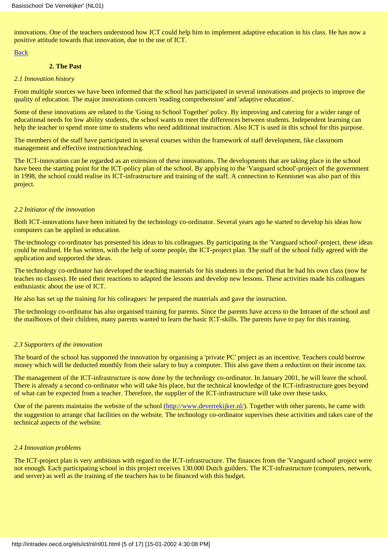innovations. One of the teachers understood how ICT could help him to implement adaptive education in his class. He has now a positive attitude towards that innovation, due to the use of ICT.

#### [Back](#page-0-0)

#### **2. The Past**

#### <span id="page-4-0"></span>*2.1 Innovation history*

From multiple sources we have been informed that the school has participated in several innovations and projects to improve the quality of education. The major innovations concern 'reading comprehension' and 'adaptive education'.

Some of these innovations are related to the 'Going to School Together' policy. By improving and catering for a wider range of educational needs for low ability students, the school wants to meet the differences between students. Independent learning can help the teacher to spend more time to students who need additional instruction. Also ICT is used in this school for this purpose.

The members of the staff have participated in several courses within the framework of staff development, like classroom management and effective instruction/teaching.

The ICT-innovation can be regarded as an extension of these innovations. The developments that are taking place in the school have been the starting point for the ICT-policy plan of the school. By applying to the 'Vanguard school'-project of the government in 1998, the school could realise its ICT-infrastructure and training of the staff. A connection to Kennisnet was also part of this project.

#### *2.2 Initiator of the innovation*

Both ICT-innovations have been initiated by the technology co-ordinator. Several years ago he started to develop his ideas how computers can be applied in education.

The technology co-ordinator has presented his ideas to his colleagues. By participating in the 'Vanguard school'-project, these ideas could be realised. He has written, with the help of some people, the ICT-project plan. The staff of the school fully agreed with the application and supported the ideas.

The technology co-ordinator has developed the teaching materials for his students in the period that he had his own class (now he teaches no classes). He used their reactions to adapted the lessons and develop new lessons. These activities made his colleagues enthusiastic about the use of ICT.

He also has set up the training for his colleagues: he prepared the materials and gave the instruction.

The technology co-ordinator has also organised training for parents. Since the parents have access to the Intranet of the school and the mailboxes of their children, many parents wanted to learn the basic ICT-skills. The parents have to pay for this training.

#### *2.3 Supporters of the innovation*

The board of the school has supported the innovation by organising a 'private PC' project as an incentive. Teachers could borrow money which will be deducted monthly from their salary to buy a computer. This also gave them a reduction on their income tax.

The management of the ICT-infrastructure is now done by the technology co-ordinator. In January 2001, he will leave the school. There is already a second co-ordinator who will take his place, but the technical knowledge of the ICT-infrastructure goes beyond of what can be expected from a teacher. Therefore, the supplier of the ICT-infrastructure will take over these tasks.

One of the parents maintains the website of the school [\(http://www.deverrekijker.nl/](http://www.deverrekijker.nl/)). Together with other parents, he came with the suggestion to arrange chat facilities on the website. The technology co-ordinator supervises these activities and takes care of the technical aspects of the website.

#### *2.4 Innovation problems*

The ICT-project plan is very ambitious with regard to the ICT-infrastructure. The finances from the 'Vanguard school' project were not enough. Each participating school in this project receives 130.000 Dutch guilders. The ICT-infrastructure (computers, network, and server) as well as the training of the teachers has to be financed with this budget.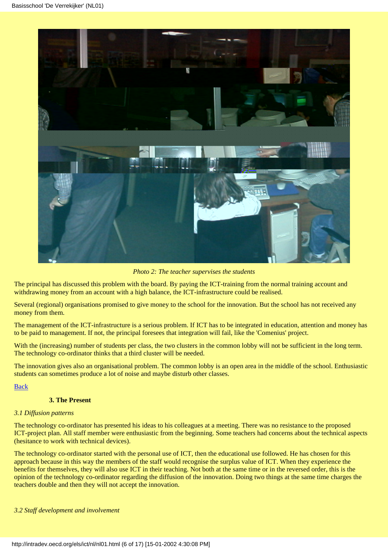

*Photo 2: The teacher supervises the students*

The principal has discussed this problem with the board. By paying the ICT-training from the normal training account and withdrawing money from an account with a high balance, the ICT-infrastructure could be realised.

Several (regional) organisations promised to give money to the school for the innovation. But the school has not received any money from them.

The management of the ICT-infrastructure is a serious problem. If ICT has to be integrated in education, attention and money has to be paid to management. If not, the principal foresees that integration will fail, like the 'Comenius' project.

With the (increasing) number of students per class, the two clusters in the common lobby will not be sufficient in the long term. The technology co-ordinator thinks that a third cluster will be needed.

The innovation gives also an organisational problem. The common lobby is an open area in the middle of the school. Enthusiastic students can sometimes produce a lot of noise and maybe disturb other classes.

[Back](#page-0-0)

## **3. The Present**

#### <span id="page-5-0"></span>*3.1 Diffusion patterns*

The technology co-ordinator has presented his ideas to his colleagues at a meeting. There was no resistance to the proposed ICT-project plan. All staff member were enthusiastic from the beginning. Some teachers had concerns about the technical aspects (hesitance to work with technical devices).

The technology co-ordinator started with the personal use of ICT, then the educational use followed. He has chosen for this approach because in this way the members of the staff would recognise the surplus value of ICT. When they experience the benefits for themselves, they will also use ICT in their teaching. Not both at the same time or in the reversed order, this is the opinion of the technology co-ordinator regarding the diffusion of the innovation. Doing two things at the same time charges the teachers double and then they will not accept the innovation.

#### *3.2 Staff development and involvement*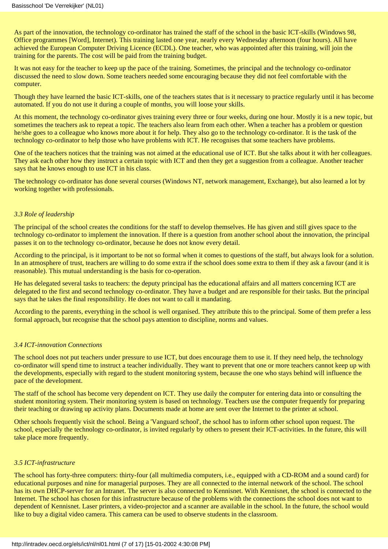As part of the innovation, the technology co-ordinator has trained the staff of the school in the basic ICT-skills (Windows 98, Office programmes [Word], Internet). This training lasted one year, nearly every Wednesday afternoon (four hours). All have achieved the European Computer Driving Licence (ECDL). One teacher, who was appointed after this training, will join the training for the parents. The cost will be paid from the training budget.

It was not easy for the teacher to keep up the pace of the training. Sometimes, the principal and the technology co-ordinator discussed the need to slow down. Some teachers needed some encouraging because they did not feel comfortable with the computer.

Though they have learned the basic ICT-skills, one of the teachers states that is it necessary to practice regularly until it has become automated. If you do not use it during a couple of months, you will loose your skills.

At this moment, the technology co-ordinator gives training every three or four weeks, during one hour. Mostly it is a new topic, but sometimes the teachers ask to repeat a topic. The teachers also learn from each other. When a teacher has a problem or question he/she goes to a colleague who knows more about it for help. They also go to the technology co-ordinator. It is the task of the technology co-ordinator to help those who have problems with ICT. He recognises that some teachers have problems.

One of the teachers notices that the training was not aimed at the educational use of ICT. But she talks about it with her colleagues. They ask each other how they instruct a certain topic with ICT and then they get a suggestion from a colleague. Another teacher says that he knows enough to use ICT in his class.

The technology co-ordinator has done several courses (Windows NT, network management, Exchange), but also learned a lot by working together with professionals.

#### *3.3 Role of leadership*

The principal of the school creates the conditions for the staff to develop themselves. He has given and still gives space to the technology co-ordinator to implement the innovation. If there is a question from another school about the innovation, the principal passes it on to the technology co-ordinator, because he does not know every detail.

According to the principal, is it important to be not so formal when it comes to questions of the staff, but always look for a solution. In an atmosphere of trust, teachers are willing to do some extra if the school does some extra to them if they ask a favour (and it is reasonable). This mutual understanding is the basis for co-operation.

He has delegated several tasks to teachers: the deputy principal has the educational affairs and all matters concerning ICT are delegated to the first and second technology co-ordinator. They have a budget and are responsible for their tasks. But the principal says that he takes the final responsibility. He does not want to call it mandating.

According to the parents, everything in the school is well organised. They attribute this to the principal. Some of them prefer a less formal approach, but recognise that the school pays attention to discipline, norms and values.

#### *3.4 ICT-innovation Connections*

The school does not put teachers under pressure to use ICT, but does encourage them to use it. If they need help, the technology co-ordinator will spend time to instruct a teacher individually. They want to prevent that one or more teachers cannot keep up with the developments, especially with regard to the student monitoring system, because the one who stays behind will influence the pace of the development.

The staff of the school has become very dependent on ICT. They use daily the computer for entering data into or consulting the student monitoring system. Their monitoring system is based on technology. Teachers use the computer frequently for preparing their teaching or drawing up activity plans. Documents made at home are sent over the Internet to the printer at school.

Other schools frequently visit the school. Being a 'Vanguard school', the school has to inform other school upon request. The school, especially the technology co-ordinator, is invited regularly by others to present their ICT-activities. In the future, this will take place more frequently.

#### *3.5 ICT-infrastructure*

The school has forty-three computers: thirty-four (all multimedia computers, i.e., equipped with a CD-ROM and a sound card) for educational purposes and nine for managerial purposes. They are all connected to the internal network of the school. The school has its own DHCP-server for an Intranet. The server is also connected to Kennisnet. With Kennisnet, the school is connected to the Internet. The school has chosen for this infrastructure because of the problems with the connections the school does not want to dependent of Kennisnet. Laser printers, a video-projector and a scanner are available in the school. In the future, the school would like to buy a digital video camera. This camera can be used to observe students in the classroom.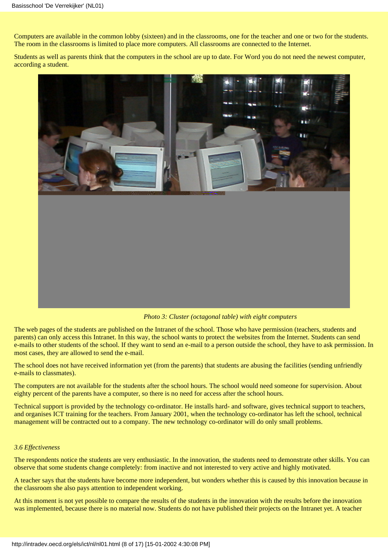Computers are available in the common lobby (sixteen) and in the classrooms, one for the teacher and one or two for the students. The room in the classrooms is limited to place more computers. All classrooms are connected to the Internet.

Students as well as parents think that the computers in the school are up to date. For Word you do not need the newest computer, according a student.



*Photo 3: Cluster (octagonal table) with eight computers*

The web pages of the students are published on the Intranet of the school. Those who have permission (teachers, students and parents) can only access this Intranet. In this way, the school wants to protect the websites from the Internet. Students can send e-mails to other students of the school. If they want to send an e-mail to a person outside the school, they have to ask permission. In most cases, they are allowed to send the e-mail.

The school does not have received information yet (from the parents) that students are abusing the facilities (sending unfriendly e-mails to classmates).

The computers are not available for the students after the school hours. The school would need someone for supervision. About eighty percent of the parents have a computer, so there is no need for access after the school hours.

Technical support is provided by the technology co-ordinator. He installs hard- and software, gives technical support to teachers, and organises ICT training for the teachers. From January 2001, when the technology co-ordinator has left the school, technical management will be contracted out to a company. The new technology co-ordinator will do only small problems.

#### *3.6 Effectiveness*

The respondents notice the students are very enthusiastic. In the innovation, the students need to demonstrate other skills. You can observe that some students change completely: from inactive and not interested to very active and highly motivated.

A teacher says that the students have become more independent, but wonders whether this is caused by this innovation because in the classroom she also pays attention to independent working.

At this moment is not yet possible to compare the results of the students in the innovation with the results before the innovation was implemented, because there is no material now. Students do not have published their projects on the Intranet yet. A teacher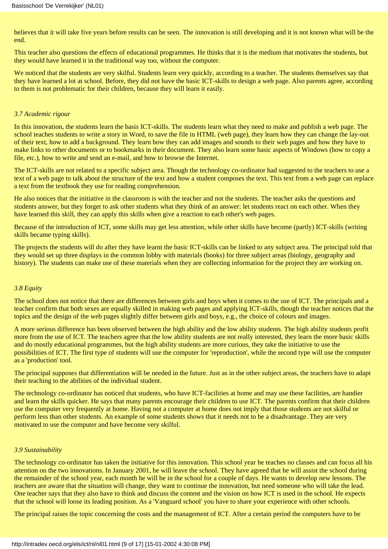believes that it will take five years before results can be seen. The innovation is still developing and it is not known what will be the end.

This teacher also questions the effects of educational programmes. He thinks that it is the medium that motivates the students, but they would have learned it in the traditional way too, without the computer.

We noticed that the students are very skilful. Students learn very quickly, according to a teacher. The students themselves say that they have learned a lot at school. Before, they did not have the basic ICT-skills to design a web page. Also parents agree, according to them is not problematic for their children, because they will learn it easily.

#### *3.7 Academic rigour*

In this innovation, the students learn the basis ICT-skills. The students learn what they need to make and publish a web page. The school teaches students to write a story in Word, to save the file in HTML (web page), they learn how they can change the lay-out of their text, how to add a background. They learn how they can add images and sounds to their web pages and how they have to make links to other documents or to bookmarks in their document. They also learn some basic aspects of Windows (how to copy a file, etc.), how to write and send an e-mail, and how to browse the Internet.

The ICT-skills are not related to a specific subject area. Though the technology co-ordinator had suggested to the teachers to use a text of a web page to talk about the structure of the text and how a student composes the text. This text from a web page can replace a text from the textbook they use for reading comprehension.

He also notices that the initiative in the classroom is with the teacher and not the students. The teacher asks the questions and students answer, but they forget to ask other students what they think of an answer: let students react on each other. When they have learned this skill, they can apply this skills when give a reaction to each other's web pages.

Because of the introduction of ICT, some skills may get less attention, while other skills have become (partly) ICT-skills (writing skills became typing skills).

The projects the students will do after they have learnt the basic ICT-skills can be linked to any subject area. The principal told that they would set up three displays in the common lobby with materials (books) for three subject areas (biology, geography and history). The students can make use of these materials when they are collecting information for the project they are working on.

#### *3.8 Equity*

The school does not notice that there are differences between girls and boys when it comes to the use of ICT. The principals and a teacher confirm that both sexes are equally skilled in making web pages and applying ICT-skills, though the teacher notices that the topics and the design of the web pages slightly differ between girls and boys, e.g., the choice of colours and images.

A more serious difference has been observed between the high ability and the low ability students. The high ability students profit more from the use of ICT. The teachers agree that the low ability students are not really interested, they learn the more basic skills and do mostly educational programmes, but the high ability students are more curious, they take the initiative to use the possibilities of ICT. The first type of students will use the computer for 'reproduction', while the second type will use the computer as a 'production' tool.

The principal supposes that differentiation will be needed in the future. Just as in the other subject areas, the teachers have to adapt their teaching to the abilities of the individual student.

The technology co-ordinator has noticed that students, who have ICT-facilities at home and may use these facilities, are handier and learn the skills quicker. He says that many parents encourage their children to use ICT. The parents confirm that their children use the computer very frequently at home. Having not a computer at home does not imply that those students are not skilful or perform less than other students. An example of some students shows that it needs not to be a disadvantage. They are very motivated to use the computer and have become very skilful.

#### *3.9 Sustainability*

The technology co-ordinator has taken the initiative for this innovation. This school year he teaches no classes and can focus all his attention on the two innovations. In January 2001, he will leave the school. They have agreed that he will assist the school during the remainder of the school year, each month he will be in the school for a couple of days. He wants to develop new lessons. The teachers are aware that the situation will change, they want to continue the innovation, but need someone who will take the lead. One teacher says that they also have to think and discuss the content and the vision on how ICT is used in the school. He expects that the school will loose its leading position. As a 'Vanguard school' you have to share your experience with other schools.

The principal raises the topic concerning the costs and the management of ICT. After a certain period the computers have to be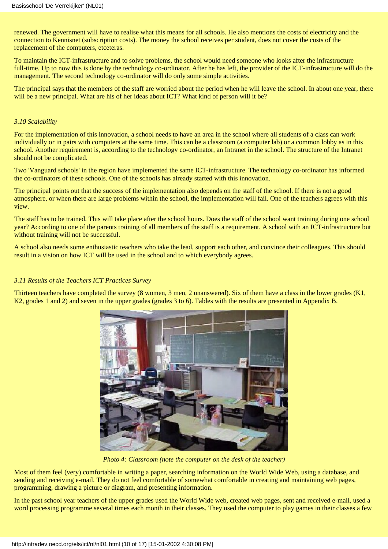renewed. The government will have to realise what this means for all schools. He also mentions the costs of electricity and the connection to Kennisnet (subscription costs). The money the school receives per student, does not cover the costs of the replacement of the computers, etceteras.

To maintain the ICT-infrastructure and to solve problems, the school would need someone who looks after the infrastructure full-time. Up to now this is done by the technology co-ordinator. After he has left, the provider of the ICT-infrastructure will do the management. The second technology co-ordinator will do only some simple activities.

The principal says that the members of the staff are worried about the period when he will leave the school. In about one year, there will be a new principal. What are his of her ideas about ICT? What kind of person will it be?

#### *3.10 Scalability*

For the implementation of this innovation, a school needs to have an area in the school where all students of a class can work individually or in pairs with computers at the same time. This can be a classroom (a computer lab) or a common lobby as in this school. Another requirement is, according to the technology co-ordinator, an Intranet in the school. The structure of the Intranet should not be complicated.

Two 'Vanguard schools' in the region have implemented the same ICT-infrastructure. The technology co-ordinator has informed the co-ordinators of these schools. One of the schools has already started with this innovation.

The principal points out that the success of the implementation also depends on the staff of the school. If there is not a good atmosphere, or when there are large problems within the school, the implementation will fail. One of the teachers agrees with this view.

The staff has to be trained. This will take place after the school hours. Does the staff of the school want training during one school year? According to one of the parents training of all members of the staff is a requirement. A school with an ICT-infrastructure but without training will not be successful.

A school also needs some enthusiastic teachers who take the lead, support each other, and convince their colleagues. This should result in a vision on how ICT will be used in the school and to which everybody agrees.

#### *3.11 Results of the Teachers ICT Practices Survey*

Thirteen teachers have completed the survey (8 women, 3 men, 2 unanswered). Six of them have a class in the lower grades (K1, K2, grades 1 and 2) and seven in the upper grades (grades 3 to 6). Tables with the results are presented in Appendix B.



*Photo 4: Classroom (note the computer on the desk of the teacher)*

Most of them feel (very) comfortable in writing a paper, searching information on the World Wide Web, using a database, and sending and receiving e-mail. They do not feel comfortable of somewhat comfortable in creating and maintaining web pages, programming, drawing a picture or diagram, and presenting information.

In the past school year teachers of the upper grades used the World Wide web, created web pages, sent and received e-mail, used a word processing programme several times each month in their classes. They used the computer to play games in their classes a few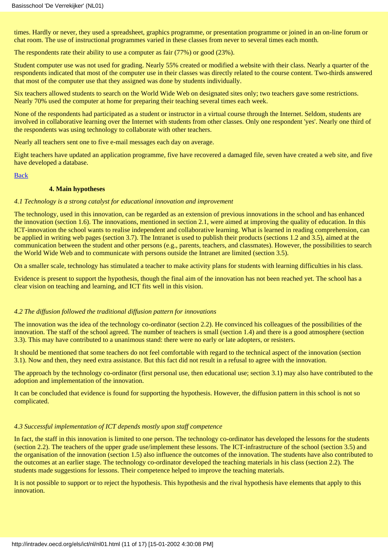times. Hardly or never, they used a spreadsheet, graphics programme, or presentation programme or joined in an on-line forum or chat room. The use of instructional programmes varied in these classes from never to several times each month.

The respondents rate their ability to use a computer as fair (77%) or good (23%).

Student computer use was not used for grading. Nearly 55% created or modified a website with their class. Nearly a quarter of the respondents indicated that most of the computer use in their classes was directly related to the course content. Two-thirds answered that most of the computer use that they assigned was done by students individually.

Six teachers allowed students to search on the World Wide Web on designated sites only; two teachers gave some restrictions. Nearly 70% used the computer at home for preparing their teaching several times each week.

None of the respondents had participated as a student or instructor in a virtual course through the Internet. Seldom, students are involved in collaborative learning over the Internet with students from other classes. Only one respondent 'yes'. Nearly one third of the respondents was using technology to collaborate with other teachers.

Nearly all teachers sent one to five e-mail messages each day on average.

Eight teachers have updated an application programme, five have recovered a damaged file, seven have created a web site, and five have developed a database.

#### [Back](#page-0-0)

#### **4. Main hypotheses**

#### <span id="page-10-0"></span>*4.1 Technology is a strong catalyst for educational innovation and improvement*

The technology, used in this innovation, can be regarded as an extension of previous innovations in the school and has enhanced the innovation (section 1.6). The innovations, mentioned in section 2.1, were aimed at improving the quality of education. In this ICT-innovation the school wants to realise independent and collaborative learning. What is learned in reading comprehension, can be applied in writing web pages (section 3.7). The Intranet is used to publish their products (sections 1.2 and 3.5), aimed at the communication between the student and other persons (e.g., parents, teachers, and classmates). However, the possibilities to search the World Wide Web and to communicate with persons outside the Intranet are limited (section 3.5).

On a smaller scale, technology has stimulated a teacher to make activity plans for students with learning difficulties in his class.

Evidence is present to support the hypothesis, though the final aim of the innovation has not been reached yet. The school has a clear vision on teaching and learning, and ICT fits well in this vision.

#### *4.2 The diffusion followed the traditional diffusion pattern for innovations*

The innovation was the idea of the technology co-ordinator (section 2.2). He convinced his colleagues of the possibilities of the innovation. The staff of the school agreed. The number of teachers is small (section 1.4) and there is a good atmosphere (section 3.3). This may have contributed to a unanimous stand: there were no early or late adopters, or resisters.

It should be mentioned that some teachers do not feel comfortable with regard to the technical aspect of the innovation (section 3.1). Now and then, they need extra assistance. But this fact did not result in a refusal to agree with the innovation.

The approach by the technology co-ordinator (first personal use, then educational use; section 3.1) may also have contributed to the adoption and implementation of the innovation.

It can be concluded that evidence is found for supporting the hypothesis. However, the diffusion pattern in this school is not so complicated.

#### *4.3 Successful implementation of ICT depends mostly upon staff competence*

In fact, the staff in this innovation is limited to one person. The technology co-ordinator has developed the lessons for the students (section 2.2). The teachers of the upper grade use/implement these lessons. The ICT-infrastructure of the school (section 3.5) and the organisation of the innovation (section 1.5) also influence the outcomes of the innovation. The students have also contributed to the outcomes at an earlier stage. The technology co-ordinator developed the teaching materials in his class (section 2.2). The students made suggestions for lessons. Their competence helped to improve the teaching materials.

It is not possible to support or to reject the hypothesis. This hypothesis and the rival hypothesis have elements that apply to this innovation.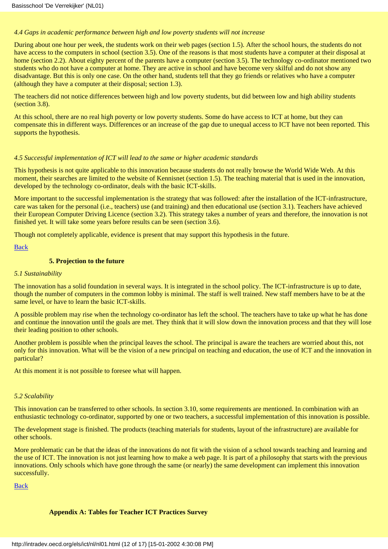#### *4.4 Gaps in academic performance between high and low poverty students will not increase*

During about one hour per week, the students work on their web pages (section 1.5). After the school hours, the students do not have access to the computers in school (section 3.5). One of the reasons is that most students have a computer at their disposal at home (section 2.2). About eighty percent of the parents have a computer (section 3.5). The technology co-ordinator mentioned two students who do not have a computer at home. They are active in school and have become very skilful and do not show any disadvantage. But this is only one case. On the other hand, students tell that they go friends or relatives who have a computer (although they have a computer at their disposal; section 1.3).

The teachers did not notice differences between high and low poverty students, but did between low and high ability students (section 3.8).

At this school, there are no real high poverty or low poverty students. Some do have access to ICT at home, but they can compensate this in different ways. Differences or an increase of the gap due to unequal access to ICT have not been reported. This supports the hypothesis.

#### *4.5 Successful implementation of ICT will lead to the same or higher academic standards*

This hypothesis is not quite applicable to this innovation because students do not really browse the World Wide Web. At this moment, their searches are limited to the website of Kennisnet (section 1.5). The teaching material that is used in the innovation, developed by the technology co-ordinator, deals with the basic ICT-skills.

More important to the successful implementation is the strategy that was followed: after the installation of the ICT-infrastructure, care was taken for the personal (i.e., teachers) use (and training) and then educational use (section 3.1). Teachers have achieved their European Computer Driving Licence (section 3.2). This strategy takes a number of years and therefore, the innovation is not finished yet. It will take some years before results can be seen (section 3.6).

Though not completely applicable, evidence is present that may support this hypothesis in the future.

#### [Back](#page-0-0)

#### **5. Projection to the future**

#### <span id="page-11-0"></span>*5.1 Sustainability*

The innovation has a solid foundation in several ways. It is integrated in the school policy. The ICT-infrastructure is up to date, though the number of computers in the common lobby is minimal. The staff is well trained. New staff members have to be at the same level, or have to learn the basic ICT-skills.

A possible problem may rise when the technology co-ordinator has left the school. The teachers have to take up what he has done and continue the innovation until the goals are met. They think that it will slow down the innovation process and that they will lose their leading position to other schools.

Another problem is possible when the principal leaves the school. The principal is aware the teachers are worried about this, not only for this innovation. What will be the vision of a new principal on teaching and education, the use of ICT and the innovation in particular?

At this moment it is not possible to foresee what will happen.

#### *5.2 Scalability*

This innovation can be transferred to other schools. In section 3.10, some requirements are mentioned. In combination with an enthusiastic technology co-ordinator, supported by one or two teachers, a successful implementation of this innovation is possible.

The development stage is finished. The products (teaching materials for students, layout of the infrastructure) are available for other schools.

More problematic can be that the ideas of the innovations do not fit with the vision of a school towards teaching and learning and the use of ICT. The innovation is not just learning how to make a web page. It is part of a philosophy that starts with the previous innovations. Only schools which have gone through the same (or nearly) the same development can implement this innovation successfully.

<span id="page-11-1"></span>[Back](#page-0-0)

#### **Appendix A: Tables for Teacher ICT Practices Survey**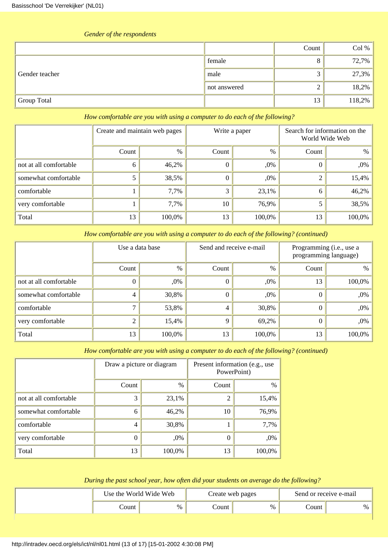| the contract of the contract of the contract of the contract of the contract of the contract of the contract of |              |       |        |
|-----------------------------------------------------------------------------------------------------------------|--------------|-------|--------|
|                                                                                                                 |              | Count | Col %  |
|                                                                                                                 | female       |       | 72,7%  |
| Gender teacher                                                                                                  | male         |       | 27,3%  |
|                                                                                                                 | not answered |       | 18,2%  |
| Group Total                                                                                                     |              | 13    | 118,2% |

# *Gender of the respondents*

### *How comfortable are you with using a computer to do each of the following?*

|                        | Create and maintain web pages |        |          | Write a paper | Search for information on the<br>World Wide Web |        |
|------------------------|-------------------------------|--------|----------|---------------|-------------------------------------------------|--------|
|                        | Count                         | $\%$   | Count    | %             | Count                                           | $\%$   |
| not at all comfortable | <sub>0</sub>                  | 46,2%  | $\theta$ | ,0%           |                                                 | ,0%    |
| somewhat comfortable   |                               | 38,5%  | $\Omega$ | ,0%           |                                                 | 15,4%  |
| comfortable            |                               | 7,7%   | 3        | 23,1%         | 6                                               | 46,2%  |
| very comfortable       |                               | 7,7%   | 10       | 76,9%         |                                                 | 38,5%  |
| Total                  | 13                            | 100,0% | 13       | 100,0%        | 13                                              | 100,0% |

*How comfortable are you with using a computer to do each of the following? (continued)*

|                        | Use a data base |               | Send and receive e-mail |        | Programming (i.e., use a<br>programming language) |        |
|------------------------|-----------------|---------------|-------------------------|--------|---------------------------------------------------|--------|
|                        | Count           | $\frac{0}{0}$ | Count                   | $\%$   | Count                                             | $\%$   |
| not at all comfortable |                 | ,0%           |                         | $,0\%$ | 13                                                | 100,0% |
| somewhat comfortable   |                 | 30,8%         | $\theta$                | $,0\%$ |                                                   | ,0%    |
| comfortable            |                 | 53,8%         | 4                       | 30,8%  |                                                   | ,0%    |
| very comfortable       |                 | 15,4%         | 9                       | 69,2%  |                                                   | ,0%    |
| Total                  | 13              | 100,0%        | 13                      | 100,0% | 13                                                | 100,0% |

*How comfortable are you with using a computer to do each of the following? (continued)*

|                        | Draw a picture or diagram |        | Present information (e.g., use<br>PowerPoint) |        |  |
|------------------------|---------------------------|--------|-----------------------------------------------|--------|--|
|                        | Count                     | $\%$   | Count                                         | $\%$   |  |
| not at all comfortable | 3                         | 23,1%  | 2                                             | 15,4%  |  |
| somewhat comfortable   | 6                         | 46,2%  | 10                                            | 76,9%  |  |
| comfortable            | 4                         | 30,8%  |                                               | 7,7%   |  |
| very comfortable       | 0                         | ,0%    | 0                                             | ,0%    |  |
| Total                  | 13                        | 100,0% | 13                                            | 100,0% |  |

# *During the past school year, how often did your students on average do the following?*

| Use the World Wide Web |      | Create web pages |      | Send or receive e-mail |   |
|------------------------|------|------------------|------|------------------------|---|
| .`ount                 | $\%$ | .`ount           | $\%$ | Count                  | % |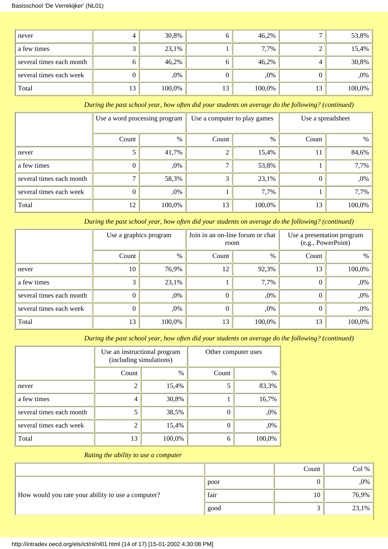#### Basisschool 'De Verrekijker' (NL01)

| never                    |    | 30,8%  |    | 46,2%  |    | $53,8\%$ |
|--------------------------|----|--------|----|--------|----|----------|
| a few times              |    | 23,1%  |    | 7,7%   |    | $15,4\%$ |
| several times each month |    | 46,2%  |    | 46,2%  |    | 30,8%    |
| several times each week  |    | ,0%    |    | ,0%    |    | ,0%      |
| Total                    | 13 | 100,0% | 13 | 100,0% | 13 | 100,0%   |

*During the past school year, how often did your students on average do the following? (continued)*

|                          | Use a word processing program |        | Use a computer to play games |        | Use a spreadsheet |        |
|--------------------------|-------------------------------|--------|------------------------------|--------|-------------------|--------|
|                          | Count                         | $\%$   | Count                        | $\%$   | Count             | $\%$   |
| never                    |                               | 41,7%  | 2                            | 15,4%  | 11                | 84,6%  |
| a few times              | 0                             | ,0%    | −                            | 53,8%  |                   | 7,7%   |
| several times each month |                               | 58,3%  | 3                            | 23,1%  | $\theta$          | ,0%    |
| several times each week  |                               | ,0%    |                              | 7,7%   |                   | 7,7%   |
| Total                    | 12                            | 100,0% | 13                           | 100,0% | 13                | 100,0% |

*During the past school year, how often did your students on average do the following? (continued)*

|                          | Use a graphics program |        | Join in an on-line forum or chat<br>room |        | Use a presentation program<br>(e.g., PowerPoint) |        |
|--------------------------|------------------------|--------|------------------------------------------|--------|--------------------------------------------------|--------|
|                          | Count                  | $\%$   | Count                                    | $\%$   | Count                                            | $\%$   |
| never                    | 10                     | 76,9%  | 12                                       | 92,3%  | 13                                               | 100,0% |
| a few times              | 3                      | 23,1%  |                                          | 7,7%   | O                                                | ,0%    |
| several times each month |                        | ,0%    | $_{0}$                                   | $,0\%$ | 0                                                | ,0%    |
| several times each week  |                        | ,0%    | 0                                        | ,0%    | $_{0}$                                           | ,0%    |
| Total                    | 13                     | 100,0% | 13                                       | 100,0% | 13                                               | 100,0% |

*During the past school year, how often did your students on average do the following? (continued)*

|                          | Use an instructional program<br>(including simulations) |        | Other computer uses |        |
|--------------------------|---------------------------------------------------------|--------|---------------------|--------|
|                          | Count                                                   | %      | Count               | $\%$   |
| never                    | $\overline{c}$                                          | 15,4%  | 5                   | 83,3%  |
| a few times              | 4                                                       | 30,8%  |                     | 16,7%  |
| several times each month | 5                                                       | 38,5%  | 0                   | ,0%    |
| several times each week  | 2                                                       | 15,4%  | 0                   | ,0%    |
| Total                    | 13                                                      | 100,0% | 6                   | 100,0% |

## *Rating the ability to use a computer*

|                                                    |      | Count | Col %    |
|----------------------------------------------------|------|-------|----------|
|                                                    | poor |       | $,0\%$ / |
| How would you rate your ability to use a computer? | fair | 10    | 76,9%    |
|                                                    | good |       | $23,1\%$ |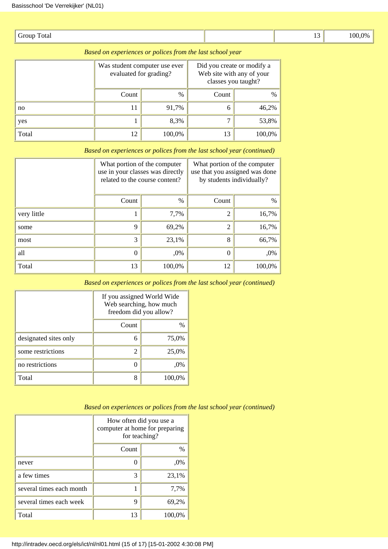| $\sim$<br>Group<br>Total<br>. |  | $\overline{\phantom{a}}$<br><b>. .</b><br>$-$ | 100.0% |
|-------------------------------|--|-----------------------------------------------|--------|
|-------------------------------|--|-----------------------------------------------|--------|

| Based on experiences or polices from the last school year |                        |                               |                                                   |                           |  |  |  |
|-----------------------------------------------------------|------------------------|-------------------------------|---------------------------------------------------|---------------------------|--|--|--|
|                                                           | evaluated for grading? | Was student computer use ever | Did you create or modify a<br>classes you taught? | Web site with any of your |  |  |  |
|                                                           | Count                  | $\%$                          | Count                                             | $\%$                      |  |  |  |
| no                                                        | 11                     | 91.7%                         | 6                                                 | 46,2%                     |  |  |  |
| yes                                                       |                        | 8,3%                          |                                                   | 53,8%                     |  |  |  |
| Total                                                     | 12                     | 100,0%                        | 13                                                | 100,0%                    |  |  |  |

|             | What portion of the computer<br>use in your classes was directly<br>related to the course content? |        | What portion of the computer<br>use that you assigned was done<br>by students individually? |        |  |
|-------------|----------------------------------------------------------------------------------------------------|--------|---------------------------------------------------------------------------------------------|--------|--|
|             | Count                                                                                              | $\%$   | Count                                                                                       | $\%$   |  |
| very little |                                                                                                    | 7,7%   | $\overline{2}$                                                                              | 16,7%  |  |
| some        | 9                                                                                                  | 69,2%  | $\overline{2}$                                                                              | 16,7%  |  |
| most        | 3                                                                                                  | 23,1%  | 8                                                                                           | 66,7%  |  |
| all         | $\boldsymbol{0}$                                                                                   | ,0%    | 0                                                                                           | ,0%    |  |
| Total       | 13                                                                                                 | 100,0% | 12                                                                                          | 100,0% |  |

*Based on experiences or polices from the last school year (continued)*

*Based on experiences or polices from the last school year (continued)*

|                       | If you assigned World Wide<br>Web searching, how much<br>freedom did you allow? |        |  |
|-----------------------|---------------------------------------------------------------------------------|--------|--|
|                       | Count                                                                           | %      |  |
| designated sites only | 6                                                                               | 75,0%  |  |
| some restrictions     | 2                                                                               | 25,0%  |  |
| no restrictions       |                                                                                 | $.0\%$ |  |
| Total                 | 8                                                                               | 100,0% |  |

|                          | How often did you use a<br>computer at home for preparing<br>for teaching? |        |  |
|--------------------------|----------------------------------------------------------------------------|--------|--|
|                          | Count                                                                      | $\%$   |  |
| never                    |                                                                            | ,0%    |  |
| a few times              | 3                                                                          | 23,1%  |  |
| several times each month |                                                                            | 7,7%   |  |
| several times each week  | 9                                                                          | 69,2%  |  |
| Total                    | 13                                                                         | 100,0% |  |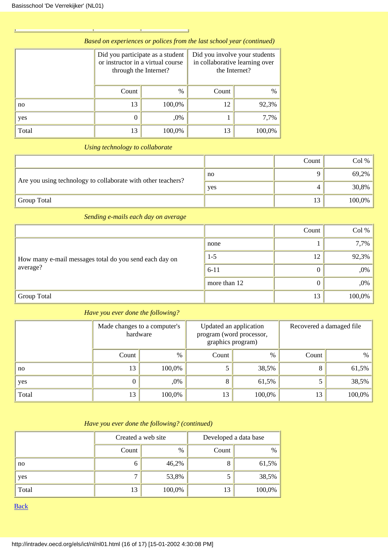| Based on experiences or polices from the last school year (continued) |                                                                                                |               |                                                                                  |        |  |  |
|-----------------------------------------------------------------------|------------------------------------------------------------------------------------------------|---------------|----------------------------------------------------------------------------------|--------|--|--|
|                                                                       | Did you participate as a student<br>or instructor in a virtual course<br>through the Internet? |               | Did you involve your students<br>in collaborative learning over<br>the Internet? |        |  |  |
|                                                                       | Count                                                                                          | $\frac{0}{0}$ | Count                                                                            | $\%$   |  |  |
| no                                                                    | 13                                                                                             | 100,0%        | 12                                                                               | 92,3%  |  |  |
| yes                                                                   |                                                                                                | ,0%           |                                                                                  | 7,7%   |  |  |
| Total                                                                 | 13                                                                                             | 100,0%        | 13                                                                               | 100,0% |  |  |

# *Using technology to collaborate*

|                                                              |     | Count | Col %    |
|--------------------------------------------------------------|-----|-------|----------|
| Are you using technology to collaborate with other teachers? | no  |       | $69,2\%$ |
|                                                              | yes |       | $30,8\%$ |
| <b>Group Total</b>                                           |     | 13    | 100,0%   |

*Sending e-mails each day on average*

|                                                        |              | Count | Col %  |
|--------------------------------------------------------|--------------|-------|--------|
|                                                        | none         |       | 7,7%   |
| How many e-mail messages total do you send each day on | $1 - 5$      | 12    | 92,3%  |
| average?                                               | $6 - 11$     | 0     | ,0%    |
|                                                        | more than 12 |       | ,0%    |
| <b>Group Total</b>                                     |              | 13    | 100,0% |

# *Have you ever done the following?*

|       | Made changes to a computer's<br>hardware |        | Updated an application<br>program (word processor,<br>graphics program) |        | Recovered a damaged file |        |
|-------|------------------------------------------|--------|-------------------------------------------------------------------------|--------|--------------------------|--------|
|       | Count                                    | $\%$   | Count                                                                   | $\%$   | Count                    | $\%$   |
| no    | 13                                       | 100,0% |                                                                         | 38,5%  |                          | 61,5%  |
| yes   |                                          | ,0%    | 8                                                                       | 61,5%  |                          | 38,5%  |
| Total | 13                                       | 100,0% | 13                                                                      | 100,0% | 13                       | 100,0% |

# *Have you ever done the following? (continued)*

|       | Created a web site |        | Developed a data base |        |
|-------|--------------------|--------|-----------------------|--------|
|       | Count              | $\%$   | Count                 | $\%$   |
| no    | O                  | 46,2%  | Ō                     | 61,5%  |
| yes   |                    | 53,8%  |                       | 38,5%  |
| Total | 13                 | 100,0% | 13                    | 100,0% |

[Back](#page-0-0)